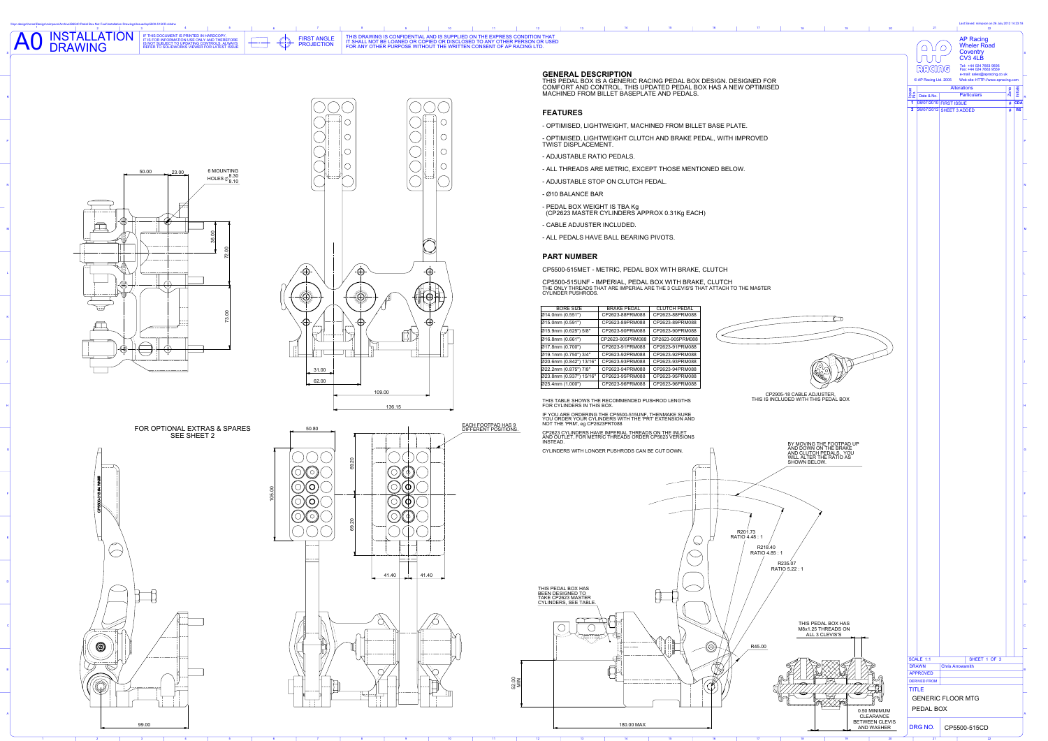### THIS DRAWING IS CONFIDENTIAL AND IS SUPPLIED ON THE EXPRESS CONDITION THAT IT SHALL NOT BE LOANED OR COPIED OR DISCLOSED TO ANY OTHER PERSON OR USED FOR ANY OTHER PURPOSE WITHOUT THE WRITTEN CONSENT OF AP RACING LTD.



NSTALLATION

\\Apr-design\home\Design\rsimpson\Archive\B6540 Pedal Box Nut Foul\Installation Drawings\Issued\cp5500-515CD.slddrw

AO INSTALLA

R

P

N

M

L

K

J

H

G

F

E

D

C

A

B



FOR OPTIONAL EXTRAS & SPARES SEE SHEET 2



1  $\sim$  2











| ued\cp5500-515CD.slddrw<br>IF THIS DOCUMENT IS PRINTED IN HARDCOPY<br>IT IS FOR INFORMATION USE ONLY AND THEREFORE<br>S NOT SUBJECT TO UPDATING CONTROLS. ALWAYS<br>REFER TO SOLIDWORKS VIEWER FOR LATEST ISSUE | THIS DRAWING IS CONFIDENTIAL AND IS SUPPLIED ON THE EXPRESS CONDITION THAT<br><b>FIRST ANGLE</b><br>IT SHALL NOT BE LOANED OR COPIED OR DISCLOSED TO ANY OTHER PERSON OR USED<br><b>PROJECTION</b><br>FOR ANY OTHER PURPOSE WITHOUT THE WRITTEN CONSENT OF AP RACING LTD. |                                                                                                                                                                                                                  | Last Saved: rsimpson on 26 July 2012 14:23:18<br><b>AP Racing</b><br><b>Wheler Road</b><br>$\begin{picture}(150,10) \put(0,0){\line(1,0){10}} \put(15,0){\line(1,0){10}} \put(15,0){\line(1,0){10}} \put(15,0){\line(1,0){10}} \put(15,0){\line(1,0){10}} \put(15,0){\line(1,0){10}} \put(15,0){\line(1,0){10}} \put(15,0){\line(1,0){10}} \put(15,0){\line(1,0){10}} \put(15,0){\line(1,0){10}} \put(15,0){\line(1,0){10}} \put(15,0){\line($<br>Coventry<br>$CV3$ 4LB |
|-----------------------------------------------------------------------------------------------------------------------------------------------------------------------------------------------------------------|---------------------------------------------------------------------------------------------------------------------------------------------------------------------------------------------------------------------------------------------------------------------------|------------------------------------------------------------------------------------------------------------------------------------------------------------------------------------------------------------------|-------------------------------------------------------------------------------------------------------------------------------------------------------------------------------------------------------------------------------------------------------------------------------------------------------------------------------------------------------------------------------------------------------------------------------------------------------------------------|
|                                                                                                                                                                                                                 |                                                                                                                                                                                                                                                                           | <b>GENERAL DESCRIPTION</b><br>THIS PEDAL BOX IS A GENERIC RACING PEDAL BOX DESIGN. DESIGNED FOR<br>COMFORT AND CONTROL. THIS UPDATED PEDAL BOX HAS A NEW OPTIMISED<br>MACHINED FROM BILLET BASEPLATE AND PEDALS. | UUU<br>Tel: +44 024 7663 9595<br>Fax: +44 024 7663 9559<br>RACING<br>e-mail: sales@apracing.co.uk<br>© AP Racing Ltd. 2005 Web site: HTTP://www.apracing.com<br><b>Alterations</b><br><b>Particulars</b><br>$\frac{2}{2}$ Date & No.                                                                                                                                                                                                                                    |
|                                                                                                                                                                                                                 |                                                                                                                                                                                                                                                                           | <b>FEATURES</b>                                                                                                                                                                                                  | $\begin{array}{ c c }\n\hline\n\text{# CDA} \\ \hline\n\text{# RS}\n\end{array}$<br>1 08/07/2010 FIRST ISSUE<br>2 26/07/2012 SHEET 3 ADDED                                                                                                                                                                                                                                                                                                                              |
|                                                                                                                                                                                                                 | $\curvearrowright$                                                                                                                                                                                                                                                        | - OPTIMISED, LIGHTWEIGHT, MACHINED FROM BILLET BASE PLATE.                                                                                                                                                       |                                                                                                                                                                                                                                                                                                                                                                                                                                                                         |
|                                                                                                                                                                                                                 | $\curvearrowright$<br>$\frown$                                                                                                                                                                                                                                            | - OPTIMISED, LIGHTWEIGHT CLUTCH AND BRAKE PEDAL, WITH IMPROVED<br><b>TWIST DISPLACEMENT.</b>                                                                                                                     |                                                                                                                                                                                                                                                                                                                                                                                                                                                                         |
|                                                                                                                                                                                                                 | $\curvearrowright$<br>$\smile$<br>$\smile$                                                                                                                                                                                                                                | - ADJUSTABLE RATIO PEDALS.                                                                                                                                                                                       |                                                                                                                                                                                                                                                                                                                                                                                                                                                                         |
| <b>6 MOUNTING</b><br>50.00<br>$\rightarrow 23.00$                                                                                                                                                               |                                                                                                                                                                                                                                                                           | - ALL THREADS ARE METRIC, EXCEPT THOSE MENTIONED BELOW.                                                                                                                                                          |                                                                                                                                                                                                                                                                                                                                                                                                                                                                         |
| HOLES $\phi$ $^{8.30}_{8.10}$                                                                                                                                                                                   |                                                                                                                                                                                                                                                                           | - ADJUSTABLE STOP ON CLUTCH PEDAL.                                                                                                                                                                               |                                                                                                                                                                                                                                                                                                                                                                                                                                                                         |
|                                                                                                                                                                                                                 |                                                                                                                                                                                                                                                                           | - Ø10 BALANCE BAR                                                                                                                                                                                                |                                                                                                                                                                                                                                                                                                                                                                                                                                                                         |
|                                                                                                                                                                                                                 |                                                                                                                                                                                                                                                                           | - PEDAL BOX WEIGHT IS TBA Kg<br>(CP2623 MASTER CYLINDERS APPROX 0.31Kg EACH)                                                                                                                                     |                                                                                                                                                                                                                                                                                                                                                                                                                                                                         |
| — — — —— — — —— <mark>— — —— -</mark>                                                                                                                                                                           |                                                                                                                                                                                                                                                                           | - CABLE ADJUSTER INCLUDED.<br>- ALL PEDALS HAVE BALL BEARING PIVOTS.                                                                                                                                             |                                                                                                                                                                                                                                                                                                                                                                                                                                                                         |
| - --- - - - - - - - - -                                                                                                                                                                                         |                                                                                                                                                                                                                                                                           |                                                                                                                                                                                                                  |                                                                                                                                                                                                                                                                                                                                                                                                                                                                         |
|                                                                                                                                                                                                                 |                                                                                                                                                                                                                                                                           | <b>PART NUMBER</b>                                                                                                                                                                                               |                                                                                                                                                                                                                                                                                                                                                                                                                                                                         |
|                                                                                                                                                                                                                 | $\mathbb{D}$<br>-A-                                                                                                                                                                                                                                                       | CP5500-515MET - METRIC, PEDAL BOX WITH BRAKE, CLUTCH<br>CP5500-515UNF - IMPERIAL, PEDAL BOX WITH BRAKE, CLUTCH                                                                                                   |                                                                                                                                                                                                                                                                                                                                                                                                                                                                         |
| せサ                                                                                                                                                                                                              | HOH<br>$-\langle\!\langle\!\langle (- -\rangle\!\rangle +\rangle\!\rangle$<br><del>- (( ( ( – ) ) ) ) - ( (</del>                                                                                                                                                         | THE ONLY THREADS THAT ARE IMPERIAL ARE THE 3 CLEVIS'S THAT ATTACH TO THE MASTER<br><b>CYLINDER PUSHRODS.</b>                                                                                                     |                                                                                                                                                                                                                                                                                                                                                                                                                                                                         |
|                                                                                                                                                                                                                 | $\sqrt{d}$                                                                                                                                                                                                                                                                | <b>BORE SIZE</b><br><b>CLUTCH PEDAL</b><br><b>BRAKE PEDAL</b><br>CP2623-88PRM088<br>CP2623-88PRM088<br>$\varnothing$ 14.0mm (0.551")                                                                             |                                                                                                                                                                                                                                                                                                                                                                                                                                                                         |
|                                                                                                                                                                                                                 | 1⊢—— <del>)</del> II`                                                                                                                                                                                                                                                     | CP2623-89PRM088<br>CP2623-89PRM088<br>$\varnothing$ 15.0mm (0.591")<br>Ø15.9mm (0.625") 5/8"<br>CP2623-90PRM088<br>CP2623-90PRM088                                                                               |                                                                                                                                                                                                                                                                                                                                                                                                                                                                         |
|                                                                                                                                                                                                                 |                                                                                                                                                                                                                                                                           | $\mid$ CP2623-905PRM088 $\mid$ CP2623-905PRM088<br>$\varnothing$ 16.8mm (0.661")<br>CP2623-91PRM088 CP2623-91PRM088<br>$\varnothing$ 17.8mm (0.700")                                                             |                                                                                                                                                                                                                                                                                                                                                                                                                                                                         |
| $\cup'$                                                                                                                                                                                                         | $\overline{\phantom{a}}$ , and the set of $\overline{\phantom{a}}$                                                                                                                                                                                                        | CP2623-92PRM088   CP2623-92PRM088<br>Ø19.1mm (0.750") 3/4"<br>Ø20.6mm (0.842") 13/16"                                                                                                                            |                                                                                                                                                                                                                                                                                                                                                                                                                                                                         |
| __________________                                                                                                                                                                                              | 31.00                                                                                                                                                                                                                                                                     | CP2623-94PRM088 CP2623-94PRM088<br>Ø22.2mm (0.875") 7/8"<br>$\vert$ CP2623-95PRM088 $\vert$ CP2623-95PRM088<br>Ø23.8mm (0.937") 15/16"                                                                           |                                                                                                                                                                                                                                                                                                                                                                                                                                                                         |
|                                                                                                                                                                                                                 | 62.00<br>109.00                                                                                                                                                                                                                                                           | CP2623-96PRM088 CP2623-96PRM088<br>$ $ Ø25.4mm (1.000")                                                                                                                                                          |                                                                                                                                                                                                                                                                                                                                                                                                                                                                         |
|                                                                                                                                                                                                                 | 136.15                                                                                                                                                                                                                                                                    | CP2905-18 CABLE ADJUSTER,<br>THIS IS INCLUDED WITH THIS PEDAL BOX<br>THIS TABLE SHOWS THE RECOMMENDED PUSHROD LENGTHS<br>FOR CYLINDERS IN THIS BOX.                                                              |                                                                                                                                                                                                                                                                                                                                                                                                                                                                         |
|                                                                                                                                                                                                                 | <b>EACH FOOTPAD HAS 9</b>                                                                                                                                                                                                                                                 | IF YOU ARE ORDERING THE CP5500-515UNF, THENMAKE SURE<br>YOU ORDER YOUR CYLINDERS WITH THE 'PRT' EXTENSION AND<br>NOT THE 'PRM', eg CP2623PRT088                                                                  |                                                                                                                                                                                                                                                                                                                                                                                                                                                                         |
| <b>DR OPTIONAL EXTRAS &amp; SPARES</b><br><b>SEE SHEET 2</b>                                                                                                                                                    | 50.80<br>DIFFERENT POSITIONS.<br>$\leftarrow$                                                                                                                                                                                                                             | CP2623 CYLINDERS HAVE IMPERIAL THREADS ON THE INLET<br>AND OUTLET, FOR METRIC THREADS ORDER CP5623 VERSIONS<br>INSTEAD.                                                                                          |                                                                                                                                                                                                                                                                                                                                                                                                                                                                         |
|                                                                                                                                                                                                                 |                                                                                                                                                                                                                                                                           | BY MOVING THE FOOTPAD UP<br>AND DOWN ON THE BRAKE<br>AND CLUTCH PEDALS, YOU<br>WILL ALTER THE RATIO AS<br>SHOWN BELOW.<br>CYLINDERS WITH LONGER PUSHRODS CAN BE CUT DOWN.                                        |                                                                                                                                                                                                                                                                                                                                                                                                                                                                         |
|                                                                                                                                                                                                                 |                                                                                                                                                                                                                                                                           |                                                                                                                                                                                                                  |                                                                                                                                                                                                                                                                                                                                                                                                                                                                         |
|                                                                                                                                                                                                                 |                                                                                                                                                                                                                                                                           |                                                                                                                                                                                                                  |                                                                                                                                                                                                                                                                                                                                                                                                                                                                         |
|                                                                                                                                                                                                                 | $\overbrace{\hspace{25mm}}$                                                                                                                                                                                                                                               |                                                                                                                                                                                                                  |                                                                                                                                                                                                                                                                                                                                                                                                                                                                         |
|                                                                                                                                                                                                                 |                                                                                                                                                                                                                                                                           |                                                                                                                                                                                                                  |                                                                                                                                                                                                                                                                                                                                                                                                                                                                         |
|                                                                                                                                                                                                                 |                                                                                                                                                                                                                                                                           | R201.73<br>RATIO 4.48 : 1                                                                                                                                                                                        |                                                                                                                                                                                                                                                                                                                                                                                                                                                                         |
|                                                                                                                                                                                                                 |                                                                                                                                                                                                                                                                           | R218.40<br>RATIO 4.85:1                                                                                                                                                                                          |                                                                                                                                                                                                                                                                                                                                                                                                                                                                         |
|                                                                                                                                                                                                                 | $- + - -$                                                                                                                                                                                                                                                                 | R235.07<br>RATIO 5.22 : 1                                                                                                                                                                                        |                                                                                                                                                                                                                                                                                                                                                                                                                                                                         |
|                                                                                                                                                                                                                 | $41.40$ $41.40$                                                                                                                                                                                                                                                           |                                                                                                                                                                                                                  |                                                                                                                                                                                                                                                                                                                                                                                                                                                                         |
|                                                                                                                                                                                                                 |                                                                                                                                                                                                                                                                           | THIS PEDAL BOX HAS<br><b>DESIGNED T</b>                                                                                                                                                                          |                                                                                                                                                                                                                                                                                                                                                                                                                                                                         |
|                                                                                                                                                                                                                 |                                                                                                                                                                                                                                                                           | $\overbrace{\hspace{1.5cm}}^{\overbrace{\hspace{1.5cm}}^{\overbrace{\hspace{1.5cm}}}}$                                                                                                                           |                                                                                                                                                                                                                                                                                                                                                                                                                                                                         |
|                                                                                                                                                                                                                 |                                                                                                                                                                                                                                                                           | THIS PEDAL BOX HAS<br>M8x1.25 THREADS ON<br>ALL 3 CLEVIS'S                                                                                                                                                       |                                                                                                                                                                                                                                                                                                                                                                                                                                                                         |
|                                                                                                                                                                                                                 | ———————————                                                                                                                                                                                                                                                               | - ---- - - ---- -<br>R45.00<br>$- +$                                                                                                                                                                             |                                                                                                                                                                                                                                                                                                                                                                                                                                                                         |
|                                                                                                                                                                                                                 | ————————<br>_ <del>_ _ _ _</del> _ _ _ _ _ _ _                                                                                                                                                                                                                            | _____________                                                                                                                                                                                                    | SCALE 1:1<br>SHEET 1 OF 3<br><b>Chris Arrowsmith</b>                                                                                                                                                                                                                                                                                                                                                                                                                    |
|                                                                                                                                                                                                                 |                                                                                                                                                                                                                                                                           | --------------------                                                                                                                                                                                             | <b>APPROVED</b><br><b>DERIVED FROM</b>                                                                                                                                                                                                                                                                                                                                                                                                                                  |
|                                                                                                                                                                                                                 | $\overbrace{\qquad \qquad }$<br>____                                                                                                                                                                                                                                      |                                                                                                                                                                                                                  | <b>TITLE</b><br><b>GENERIC FLOOR MTG</b>                                                                                                                                                                                                                                                                                                                                                                                                                                |
| the contract of the con-                                                                                                                                                                                        | $\mathbf{1}$<br>$\mathbf{1}$                                                                                                                                                                                                                                              | $\vee$ $\vee$ $\vee$ $\vee$ $\vee$<br>0.50 MINIMUM                                                                                                                                                               | PEDAL BOX                                                                                                                                                                                                                                                                                                                                                                                                                                                               |
| 9.00                                                                                                                                                                                                            |                                                                                                                                                                                                                                                                           | <b>CLEARANCE</b><br>BETWEEN CLEVIS<br>AND WASHER<br>180.00 MAX                                                                                                                                                   | DRG NO.<br>CP5500-515CD                                                                                                                                                                                                                                                                                                                                                                                                                                                 |
|                                                                                                                                                                                                                 |                                                                                                                                                                                                                                                                           |                                                                                                                                                                                                                  |                                                                                                                                                                                                                                                                                                                                                                                                                                                                         |

# **GENERAL DESCRIPTION**

# **FEATURES**

- 
- 
- 
- 
- 
- 
- 
- 
- 

## **PART NUMBER**



| <b>BORE SIZE</b>        | <b>BRAKE PEDAL</b> | <b>CLUTCH PEDAL</b> |
|-------------------------|--------------------|---------------------|
| Ø14.0mm (0.551")        | CP2623-88PRM088    | CP2623-88PRM088     |
| Ø15.0mm (0.591")        | CP2623-89PRM088    | CP2623-89PRM088     |
| Ø15.9mm (0.625") 5/8"   | CP2623-90PRM088    | CP2623-90PRM088     |
| Ø16.8mm (0.661")        | CP2623-905PRM088   | CP2623-905PRM088    |
| Ø17.8mm (0.700")        | CP2623-91PRM088    | CP2623-91PRM088     |
| Ø19.1mm (0.750") 3/4"   | CP2623-92PRM088    | CP2623-92PRM088     |
| Ø20.6mm (0.842") 13/16" | CP2623-93PRM088    | CP2623-93PRM088     |
| Ø22.2mm (0.875") 7/8"   | CP2623-94PRM088    | CP2623-94PRM088     |
| Ø23.8mm (0.937") 15/16" | CP2623-95PRM088    | CP2623-95PRM088     |
| Ø25.4mm (1.000")        | CP2623-96PRM088    | CP2623-96PRM088     |
|                         |                    |                     |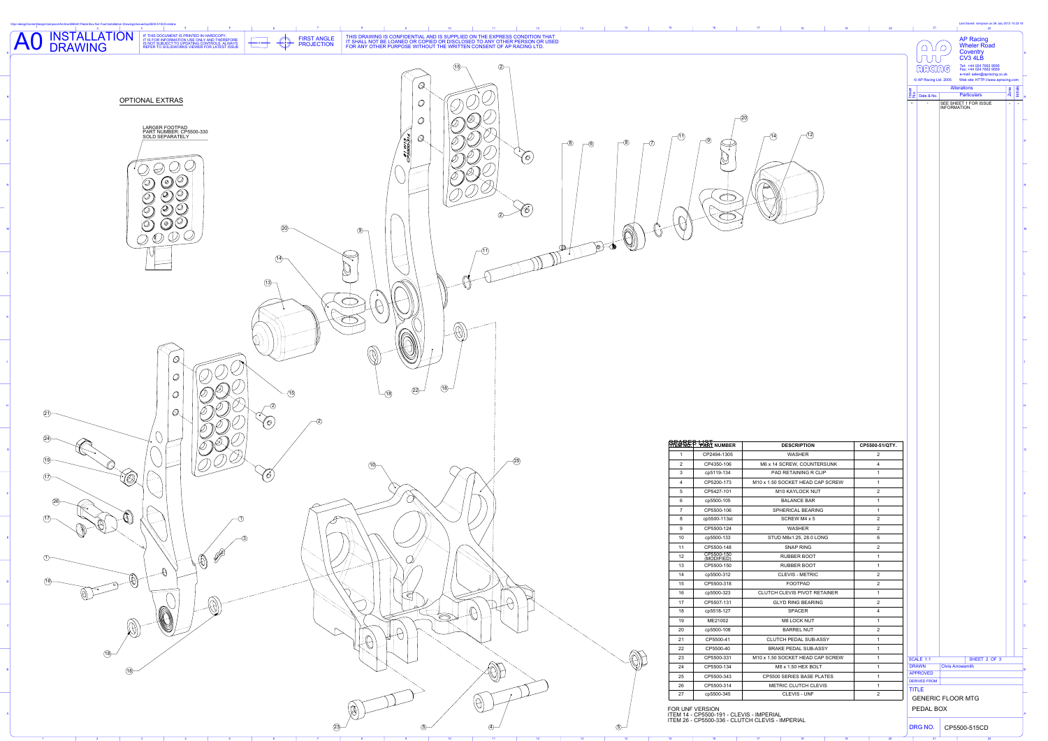

R

P

N

M

L

K

J

H

G

F

E

D

C

A

B

|          |                                  |                                |                                        |              | <b>AP Racing<br/>Wheler Road</b>                                                        |                        |          |  |  |  |
|----------|----------------------------------|--------------------------------|----------------------------------------|--------------|-----------------------------------------------------------------------------------------|------------------------|----------|--|--|--|
|          |                                  |                                | $\begin{pmatrix} 0 \\ 0 \end{pmatrix}$ |              | Coventry<br>CV3 4LB<br>Tel: +44 024 7663 9595<br>Fax: +44 024 7663 9559                 |                        |          |  |  |  |
|          |                                  |                                | © AP Racing Ltd. 2005                  |              | e-mail: sales@apracing.co.uk<br>Web site: HTTP://www.apracing.com<br><b>Alterations</b> |                        |          |  |  |  |
|          |                                  | Issue<br>No.<br>$\blacksquare$ | Date & No.                             |              | <b>Particulars</b><br>SEE SHEET 1 FOR ISSUE                                             | Zone<br>$\blacksquare$ | Initials |  |  |  |
|          |                                  |                                |                                        | INFORMATION. |                                                                                         |                        |          |  |  |  |
|          |                                  |                                |                                        |              |                                                                                         |                        |          |  |  |  |
|          |                                  |                                |                                        |              |                                                                                         |                        |          |  |  |  |
|          |                                  |                                |                                        |              |                                                                                         |                        |          |  |  |  |
|          |                                  |                                |                                        |              |                                                                                         |                        |          |  |  |  |
|          |                                  |                                |                                        |              |                                                                                         |                        |          |  |  |  |
|          |                                  |                                |                                        |              |                                                                                         |                        |          |  |  |  |
|          |                                  |                                |                                        |              |                                                                                         |                        |          |  |  |  |
|          |                                  |                                |                                        |              |                                                                                         |                        |          |  |  |  |
|          |                                  |                                |                                        |              |                                                                                         |                        |          |  |  |  |
|          |                                  |                                |                                        |              |                                                                                         |                        |          |  |  |  |
|          |                                  |                                |                                        |              |                                                                                         |                        |          |  |  |  |
|          |                                  |                                |                                        |              |                                                                                         |                        |          |  |  |  |
|          |                                  |                                |                                        |              |                                                                                         |                        |          |  |  |  |
|          |                                  |                                |                                        |              |                                                                                         |                        |          |  |  |  |
|          |                                  |                                |                                        |              |                                                                                         |                        |          |  |  |  |
|          |                                  |                                |                                        |              |                                                                                         |                        |          |  |  |  |
|          |                                  |                                |                                        |              |                                                                                         |                        |          |  |  |  |
|          |                                  |                                |                                        |              |                                                                                         |                        |          |  |  |  |
|          |                                  |                                |                                        |              |                                                                                         |                        |          |  |  |  |
|          |                                  |                                |                                        |              |                                                                                         |                        |          |  |  |  |
|          |                                  |                                |                                        |              |                                                                                         |                        |          |  |  |  |
|          |                                  |                                |                                        |              |                                                                                         |                        |          |  |  |  |
|          |                                  |                                |                                        |              |                                                                                         |                        |          |  |  |  |
|          | CP5500-51/QTY.                   |                                |                                        |              |                                                                                         |                        |          |  |  |  |
|          |                                  |                                |                                        |              |                                                                                         |                        |          |  |  |  |
|          | $\overline{2}$                   |                                |                                        |              |                                                                                         |                        |          |  |  |  |
|          | $\overline{4}$<br>1              |                                |                                        |              |                                                                                         |                        |          |  |  |  |
|          | 1                                |                                |                                        |              |                                                                                         |                        |          |  |  |  |
|          | $\overline{2}$<br>1              |                                |                                        |              |                                                                                         |                        |          |  |  |  |
|          | $\mathbf 1$                      |                                |                                        |              |                                                                                         |                        |          |  |  |  |
|          | $\overline{2}$<br>$\overline{2}$ |                                |                                        |              |                                                                                         |                        |          |  |  |  |
|          | $6\phantom{1}$                   |                                |                                        |              |                                                                                         |                        |          |  |  |  |
|          | $\overline{2}$<br>1              |                                |                                        |              |                                                                                         |                        |          |  |  |  |
|          | 1                                |                                |                                        |              |                                                                                         |                        |          |  |  |  |
|          | $\overline{2}$<br>$\overline{2}$ |                                |                                        |              |                                                                                         |                        |          |  |  |  |
|          | 1                                |                                |                                        |              |                                                                                         |                        |          |  |  |  |
|          | $\overline{2}$<br>$\overline{4}$ |                                |                                        |              |                                                                                         |                        |          |  |  |  |
|          | 1                                |                                |                                        |              |                                                                                         |                        |          |  |  |  |
|          | $\overline{2}$<br>1              |                                |                                        |              |                                                                                         |                        |          |  |  |  |
|          |                                  |                                |                                        |              |                                                                                         |                        |          |  |  |  |
|          | 1<br>1                           |                                | <b>SCALE 1:1</b><br><b>DRAWN</b>       |              | SHEET 2 OF 3                                                                            |                        |          |  |  |  |
|          | 1                                |                                | <b>APPROVED</b>                        |              | <b>Chris Arrowsmith</b>                                                                 |                        |          |  |  |  |
| EW<br>EW | 1                                |                                | <b>DERIVED FROM</b><br><b>TITLE</b>    |              |                                                                                         |                        |          |  |  |  |
|          | $\overline{2}$                   |                                | PEDAL BOX                              |              | <b>GENERIC FLOOR MTG</b>                                                                |                        |          |  |  |  |

|                | <b>PREMNEP PART NUMBER</b> | <b>DESCRIPTION</b>                  | CP5500-        |  |  |
|----------------|----------------------------|-------------------------------------|----------------|--|--|
| 1              | CP2494-1305                | <b>WASHER</b>                       | $\overline{2}$ |  |  |
| 2              | CP4350-106                 | M6 x 14 SCREW, COUNTERSUNK          | $\overline{4}$ |  |  |
| 3              | cp5119-134                 | <b>PAD RETAINING R CLIP</b>         | 1              |  |  |
| $\overline{4}$ | CP5200-173                 | M10 x 1.50 SOCKET HEAD CAP SCREW    | 1              |  |  |
| 5              | CP5427-101                 | <b>M10 KAYLOCK NUT</b>              | $\overline{2}$ |  |  |
| 6              | cp5500-105                 | <b>BALANCE BAR</b>                  | 1              |  |  |
| $\overline{7}$ | CP5500-106                 | <b>SPHERICAL BEARING</b>            | 1              |  |  |
| 8              | cp5500-113st               | <b>SCREW M4 x 5</b>                 | $\overline{2}$ |  |  |
| 9              | CP5500-124                 | <b>WASHER</b>                       | $\overline{2}$ |  |  |
| 10             | cp5500-133                 | <b>STUD M8x1.25, 28.0 LONG</b>      | 6              |  |  |
| 11             | CP5500-148                 | <b>SNAP RING</b>                    | $\overline{2}$ |  |  |
| 12             | CP5500-150<br>(MODIFIED)   | <b>RUBBER BOOT</b>                  | 1              |  |  |
| 13             | CP5500-150                 | <b>RUBBER BOOT</b>                  | 1              |  |  |
| 14             | cp5500-312                 | <b>CLEVIS - METRIC</b>              | $\overline{2}$ |  |  |
| 15             | CP5500-318                 | <b>FOOTPAD</b>                      | $\overline{2}$ |  |  |
| 16             | cp5500-323                 | <b>CLUTCH CLEVIS PIVOT RETAINER</b> | 1              |  |  |
| 17             | CP5507-131                 | <b>GLYD RING BEARING</b>            | $\overline{2}$ |  |  |
| 18             | cp5518-127                 | <b>SPACER</b>                       | $\overline{4}$ |  |  |
| 19             | ME21002                    | <b>M8 LOCK NUT</b>                  | 1              |  |  |
| 20             | cp5500-108                 | <b>BARREL NUT</b>                   | $\overline{2}$ |  |  |
| 21             | CP5500-41                  | <b>CLUTCH PEDAL SUB-ASSY</b>        | 1              |  |  |
| 22             | CP5500-40                  | <b>BRAKE PEDAL SUB-ASSY</b>         | 1              |  |  |
| 23             | CP5500-331                 | M10 x 1.50 SOCKET HEAD CAP SCREW    | 1              |  |  |
| 24             | CP5500-134                 | M8 x 1.50 HEX BOLT                  | 1              |  |  |
| 25             | CP5500-343                 | <b>CP5500 SERIES BASE PLATES</b>    | 1              |  |  |
| 26             | CP5500-314                 | <b>METRIC CLUTCH CLEVIS</b>         | 1              |  |  |
| 27             | cp5500-345                 | <b>CLEVIS - UNF</b>                 | $\overline{2}$ |  |  |